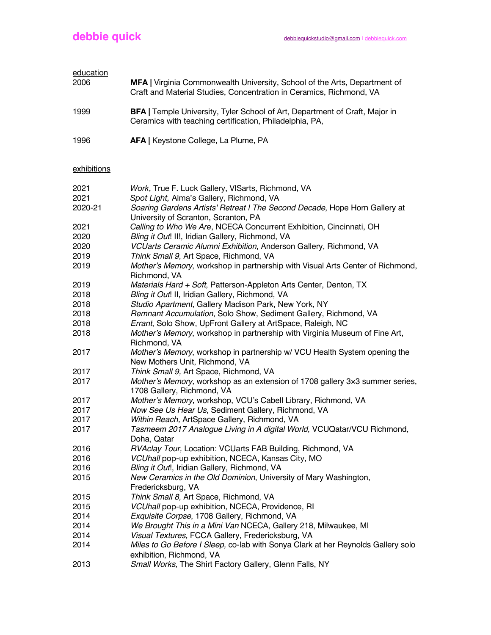| education   |                                                                                                                                                  |
|-------------|--------------------------------------------------------------------------------------------------------------------------------------------------|
| 2006        | MFA   Virginia Commonwealth University, School of the Arts, Department of<br>Craft and Material Studies, Concentration in Ceramics, Richmond, VA |
| 1999        | BFA   Temple University, Tyler School of Art, Department of Craft, Major in<br>Ceramics with teaching certification, Philadelphia, PA,           |
| 1996        | AFA   Keystone College, La Plume, PA                                                                                                             |
| exhibitions |                                                                                                                                                  |
| 2021        | Work, True F. Luck Gallery, VISarts, Richmond, VA                                                                                                |
| 2021        | Spot Light, Alma's Gallery, Richmond, VA                                                                                                         |
| 2020-21     | Soaring Gardens Artists' Retreat I The Second Decade, Hope Horn Gallery at<br>University of Scranton, Scranton, PA                               |
| 2021        | Calling to Who We Are, NCECA Concurrent Exhibition, Cincinnati, OH                                                                               |
| 2020        | Bling it Out! II!, Iridian Gallery, Richmond, VA                                                                                                 |
| 2020        | VCUarts Ceramic Alumni Exhibition, Anderson Gallery, Richmond, VA                                                                                |
| 2019        | Think Small 9, Art Space, Richmond, VA                                                                                                           |
| 2019        | Mother's Memory, workshop in partnership with Visual Arts Center of Richmond,<br>Richmond, VA                                                    |
| 2019        | Materials Hard + Soft, Patterson-Appleton Arts Center, Denton, TX                                                                                |
| 2018        | Bling it Out! II, Iridian Gallery, Richmond, VA                                                                                                  |
| 2018        | Studio Apartment, Gallery Madison Park, New York, NY                                                                                             |
| 2018        | Remnant Accumulation, Solo Show, Sediment Gallery, Richmond, VA                                                                                  |
| 2018        | Errant, Solo Show, UpFront Gallery at ArtSpace, Raleigh, NC                                                                                      |
| 2018        | Mother's Memory, workshop in partnership with Virginia Museum of Fine Art,<br>Richmond, VA                                                       |
| 2017        | Mother's Memory, workshop in partnership w/ VCU Health System opening the<br>New Mothers Unit, Richmond, VA                                      |
| 2017        | Think Small 9, Art Space, Richmond, VA                                                                                                           |
| 2017        | Mother's Memory, workshop as an extension of 1708 gallery 3x3 summer series,<br>1708 Gallery, Richmond, VA                                       |
| 2017        | Mother's Memory, workshop, VCU's Cabell Library, Richmond, VA                                                                                    |
| 2017        | Now See Us Hear Us, Sediment Gallery, Richmond, VA                                                                                               |
| 2017        | Within Reach, ArtSpace Gallery, Richmond, VA                                                                                                     |
| 2017        | Tasmeem 2017 Analogue Living in A digital World, VCUQatar/VCU Richmond,<br>Doha, Qatar                                                           |
| 2016        | RVAclay Tour, Location: VCUarts FAB Building, Richmond, VA                                                                                       |
| 2016        | VCUhall pop-up exhibition, NCECA, Kansas City, MO                                                                                                |
| 2016        | Bling it Out!, Iridian Gallery, Richmond, VA                                                                                                     |
| 2015        | New Ceramics in the Old Dominion, University of Mary Washington,<br>Fredericksburg, VA                                                           |
| 2015        | Think Small 8, Art Space, Richmond, VA                                                                                                           |
| 2015        | VCUhall pop-up exhibition, NCECA, Providence, RI                                                                                                 |
| 2014        | Exquisite Corpse, 1708 Gallery, Richmond, VA                                                                                                     |
| 2014        | We Brought This in a Mini Van NCECA, Gallery 218, Milwaukee, MI                                                                                  |
| 2014        | Visual Textures, FCCA Gallery, Fredericksburg, VA                                                                                                |
| 2014        | Miles to Go Before I Sleep, co-lab with Sonya Clark at her Reynolds Gallery solo<br>exhibition, Richmond, VA                                     |
| 2013        | Small Works, The Shirt Factory Gallery, Glenn Falls, NY                                                                                          |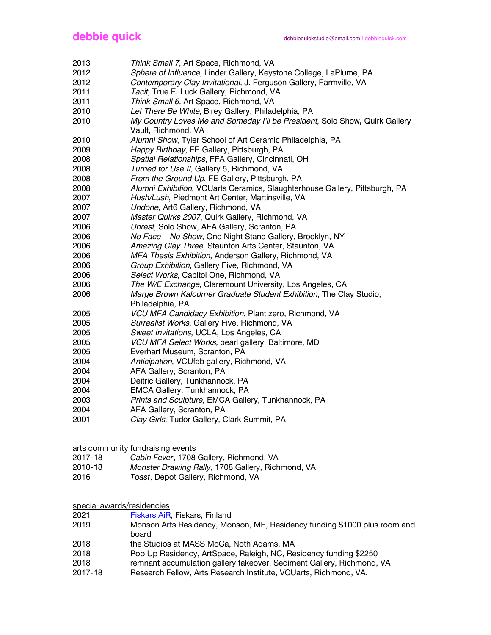- *Think Small 7,* Art Space, Richmond, VA
- *Sphere of Influence*, Linder Gallery, Keystone College, LaPlume, PA
- *Contemporary Clay Invitational,* J. Ferguson Gallery, Farmville, VA
- *Tacit*, True F. Luck Gallery, Richmond, VA
- *Think Small 6,* Art Space, Richmond, VA
- *Let There Be White*, Birey Gallery, Philadelphia, PA
- *My Country Loves Me and Someday I'll be President,* Solo Show**,** Quirk Gallery Vault, Richmond, VA
- *Alumni Show*, Tyler School of Art Ceramic Philadelphia, PA
- *Happy Birthday*, FE Gallery, Pittsburgh, PA
- *Spatial Relationships*, FFA Gallery, Cincinnati, OH
- *Turned for Use II,* Gallery 5, Richmond, VA
- *From the Ground Up*, FE Gallery, Pittsburgh, PA
- *Alumni Exhibition*, VCUarts Ceramics*,* Slaughterhouse Gallery, Pittsburgh, PA
- *Hush/Lush*, Piedmont Art Center, Martinsville, VA
- *Undone*, Art6 Gallery, Richmond, VA
- *Master Quirks 2007*, Quirk Gallery, Richmond, VA
- *Unrest,* Solo Show, AFA Gallery, Scranton, PA
- *No Face – No Show*, One Night Stand Gallery, Brooklyn, NY
- *Amazing Clay Three*, Staunton Arts Center, Staunton, VA
- *MFA Thesis Exhibition*, Anderson Gallery, Richmond, VA
- *Group Exhibition*, Gallery Five, Richmond, VA
- *Select Works,* Capitol One, Richmond, VA
- *The W/E Exchange*, Claremount University, Los Angeles, CA
- *Marge Brown Kalodrner Graduate Student Exhibition*, The Clay Studio,
- Philadelphia, PA
- *VCU MFA Candidacy Exhibition*, Plant zero, Richmond, VA
- *Surrealist Works,* Gallery Five, Richmond, VA
- *Sweet Invitations*, UCLA, Los Angeles, CA
- *VCU MFA Select Works,* pearl gallery, Baltimore, MD
- Everhart Museum, Scranton, PA
- *Anticipation*, VCUfab gallery, Richmond, VA
- AFA Gallery, Scranton, PA
- Deitric Gallery, Tunkhannock, PA
- EMCA Gallery, Tunkhannock, PA
- *Prints and Sculpture*, EMCA Gallery, Tunkhannock, PA
- AFA Gallery, Scranton, PA
- *Clay Girls*, Tudor Gallery, Clark Summit, PA

arts community fundraising events

- 2017-18 *Cabin Fever*, 1708 Gallery, Richmond, VA
- 2010-18 *Monster Drawing Rally*, 1708 Gallery, Richmond, VA
- *Toast*, Depot Gallery, Richmond, VA

special awards/residencies

**Fiskars AiR, Fiskars, Finland** 

- Monson Arts Residency, Monson, ME, Residency funding \$1000 plus room and board
- 2018 the Studios at MASS MoCa, Noth Adams, MA
- Pop Up Residency, ArtSpace, Raleigh, NC, Residency funding \$2250
- remnant accumulation gallery takeover, Sediment Gallery, Richmond, VA
- 2017-18 Research Fellow, Arts Research Institute, VCUarts, Richmond, VA.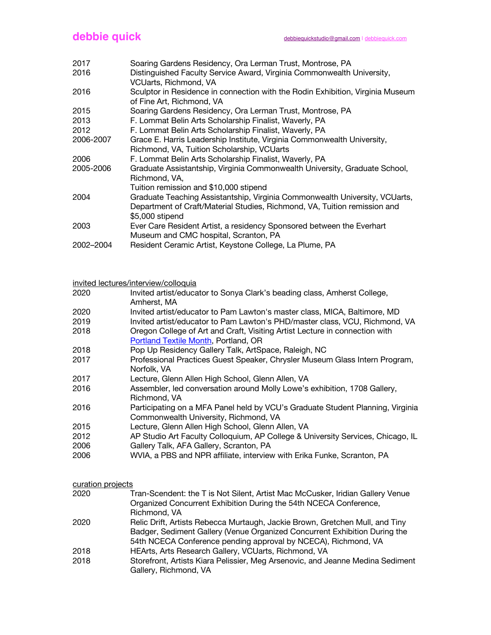| 2017      | Soaring Gardens Residency, Ora Lerman Trust, Montrose, PA                                                                                                                   |
|-----------|-----------------------------------------------------------------------------------------------------------------------------------------------------------------------------|
| 2016      | Distinguished Faculty Service Award, Virginia Commonwealth University,                                                                                                      |
|           | VCUarts, Richmond, VA                                                                                                                                                       |
| 2016      | Sculptor in Residence in connection with the Rodin Exhibition, Virginia Museum<br>of Fine Art, Richmond, VA                                                                 |
| 2015      | Soaring Gardens Residency, Ora Lerman Trust, Montrose, PA                                                                                                                   |
| 2013      | F. Lommat Belin Arts Scholarship Finalist, Waverly, PA                                                                                                                      |
| 2012      | F. Lommat Belin Arts Scholarship Finalist, Waverly, PA                                                                                                                      |
| 2006-2007 | Grace E. Harris Leadership Institute, Virginia Commonwealth University,                                                                                                     |
|           | Richmond, VA, Tuition Scholarship, VCUarts                                                                                                                                  |
| 2006      | F. Lommat Belin Arts Scholarship Finalist, Waverly, PA                                                                                                                      |
| 2005-2006 | Graduate Assistantship, Virginia Commonwealth University, Graduate School,<br>Richmond, VA,                                                                                 |
|           | Tuition remission and \$10,000 stipend                                                                                                                                      |
| 2004      | Graduate Teaching Assistantship, Virginia Commonwealth University, VCUarts,<br>Department of Craft/Material Studies, Richmond, VA, Tuition remission and<br>\$5,000 stipend |
| 2003      | Ever Care Resident Artist, a residency Sponsored between the Everhart<br>Museum and CMC hospital, Scranton, PA                                                              |
| 2002-2004 | Resident Ceramic Artist, Keystone College, La Plume, PA                                                                                                                     |
|           |                                                                                                                                                                             |

invited lectures/interview/colloquia

| 2020 | Invited artist/educator to Sonya Clark's beading class, Amherst College, |
|------|--------------------------------------------------------------------------|
|      | Amherst, MA                                                              |

- 2020 Invited artist/educator to Pam Lawton's master class, MICA, Baltimore, MD
- 2019 Invited artist/educator to Pam Lawton's PHD/master class, VCU, Richmond, VA
- 2018 Oregon College of Art and Craft, Visiting Artist Lecture in connection with Portland Textile Month, Portland, OR
- 2018 Pop Up Residency Gallery Talk, ArtSpace, Raleigh, NC
- 2017 Professional Practices Guest Speaker, Chrysler Museum Glass Intern Program, Norfolk, VA
- 2017 Lecture, Glenn Allen High School, Glenn Allen, VA
- 2016 Assembler, led conversation around Molly Lowe's exhibition, 1708 Gallery, Richmond, VA
- 2016 Participating on a MFA Panel held by VCU's Graduate Student Planning, Virginia Commonwealth University, Richmond, VA
- 2015 Lecture, Glenn Allen High School, Glenn Allen, VA
- 2012 AP Studio Art Faculty Colloquium, AP College & University Services, Chicago, IL
- 2006 Gallery Talk, AFA Gallery, Scranton, PA
- 2006 WVIA, a PBS and NPR affiliate, interview with Erika Funke, Scranton, PA

## curation projects

- 2020 Tran-Scendent: the T is Not Silent, Artist Mac McCusker, Iridian Gallery Venue Organized Concurrent Exhibition During the 54th NCECA Conference, Richmond, VA
- 2020 Relic Drift, Artists Rebecca Murtaugh, Jackie Brown, Gretchen Mull, and Tiny Badger, Sediment Gallery (Venue Organized Concurrent Exhibition During the 54th NCECA Conference pending approval by NCECA), Richmond, VA
- 2018 HEArts, Arts Research Gallery, VCUarts, Richmond, VA
- 2018 Storefront, Artists Kiara Pelissier, Meg Arsenovic, and Jeanne Medina Sediment Gallery, Richmond, VA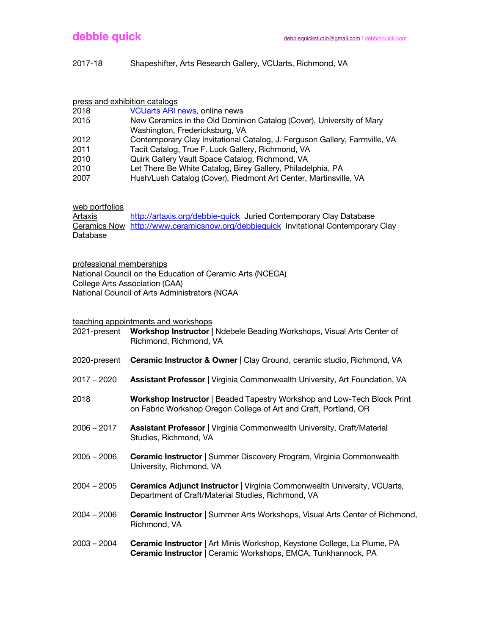## 2017-18 Shapeshifter, Arts Research Gallery, VCUarts, Richmond, VA

| press and exhibition catalogs |                                                                            |  |
|-------------------------------|----------------------------------------------------------------------------|--|
| 2018                          | <b>VCUarts ARI news, online news</b>                                       |  |
| 2015                          | New Ceramics in the Old Dominion Catalog (Cover), University of Mary       |  |
|                               | Washington, Fredericksburg, VA                                             |  |
| 2012                          | Contemporary Clay Invitational Catalog, J. Ferguson Gallery, Farmville, VA |  |
| 2011                          | Tacit Catalog, True F. Luck Gallery, Richmond, VA                          |  |
| 2010                          | Quirk Gallery Vault Space Catalog, Richmond, VA                            |  |
| 2010                          | Let There Be White Catalog, Birey Gallery, Philadelphia, PA                |  |
| 2007                          | Hush/Lush Catalog (Cover), Piedmont Art Center, Martinsville, VA           |  |

web portfolios

Artaxis http://artaxis.org/debbie-quick Juried Contemporary Clay Database Ceramics Now http://www.ceramicsnow.org/debbiequick Invitational Contemporary Clay Database

professional memberships

National Council on the Education of Ceramic Arts (NCECA) College Arts Association (CAA) National Council of Arts Administrators (NCAA

teaching appointments and workshops

| 2021-present  | <b>Workshop Instructor   Ndebele Beading Workshops, Visual Arts Center of</b><br>Richmond, Richmond, VA                                     |
|---------------|---------------------------------------------------------------------------------------------------------------------------------------------|
| 2020-present  | Ceramic Instructor & Owner   Clay Ground, ceramic studio, Richmond, VA                                                                      |
| $2017 - 2020$ | Assistant Professor   Virginia Commonwealth University, Art Foundation, VA                                                                  |
| 2018          | Workshop Instructor   Beaded Tapestry Workshop and Low-Tech Block Print<br>on Fabric Workshop Oregon College of Art and Craft, Portland, OR |
| $2006 - 2017$ | Assistant Professor   Virginia Commonwealth University, Craft/Material<br>Studies, Richmond, VA                                             |
| $2005 - 2006$ | <b>Ceramic Instructor   Summer Discovery Program, Virginia Commonwealth</b><br>University, Richmond, VA                                     |
| $2004 - 2005$ | <b>Ceramics Adjunct Instructor   Virginia Commonwealth University, VCUarts,</b><br>Department of Craft/Material Studies, Richmond, VA       |
| $2004 - 2006$ | Ceramic Instructor   Summer Arts Workshops, Visual Arts Center of Richmond,<br>Richmond, VA                                                 |
| $2003 - 2004$ | Ceramic Instructor   Art Minis Workshop, Keystone College, La Plume, PA<br>Ceramic Instructor   Ceramic Workshops, EMCA, Tunkhannock, PA    |